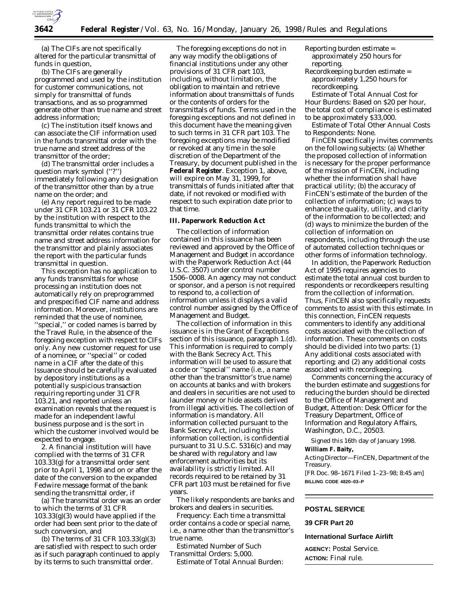

(a) The CIFs are not specifically altered for the particular transmittal of funds in question,

(b) The CIFs are generally programmed and used by the institution for customer communications, not simply for transmittal of funds transactions, and as so programmed generate other than true name and street address information;

(c) The institution itself knows and can associate the CIF information used in the funds transmittal order with the true name and street address of the transmittor of the order;

(d) The transmittal order includes a question mark symbol (''?'') immediately following any designation of the transmittor other than by a true name on the order; and

(e) Any report required to be made under 31 CFR 103.21 or 31 CFR 103.22 by the institution with respect to the funds transmittal to which the transmittal order relates contains true name and street address information for the transmittor and plainly associates the report with the particular funds transmittal in question.

This exception has no application to any funds transmittals for whose processing an institution does not automatically rely on preprogrammed and prespecified CIF name and address information. Moreover, institutions are reminded that the use of nominee, ''special,'' or coded names is barred by the Travel Rule, in the absence of the foregoing exception with respect to CIFs only. Any new customer request for use of a nominee, or ''special'' or coded name in a CIF after the date of this Issuance should be carefully evaluated by depository institutions as a potentially suspicious transaction requiring reporting under 31 CFR 103.21, and reported unless an examination reveals that the request is made for an independent lawful business purpose and is the sort in which the customer involved would be expected to engage.

2. A financial institution will have complied with the terms of 31 CFR 103.33(g) for a transmittal order sent prior to April 1, 1998 and on or after the date of the conversion to the expanded Fedwire message format of the bank sending the transmittal order, if

(a) The transmittal order was an order to which the terms of 31 CFR 103.33(g)(3) would have applied if the order had been sent prior to the date of such conversion, and

(b) The terms of 31 CFR 103.33(g)(3) are satisfied with respect to such order as if such paragraph continued to apply by its terms to such transmittal order.

The foregoing exceptions do not in any way modify the obligations of financial institutions under any other provisions of 31 CFR part 103, including, without limitation, the obligation to maintain and retrieve information about transmittals of funds or the contents of orders for the transmittals of funds. Terms used in the foregoing exceptions and not defined in this document have the meaning given to such terms in 31 CFR part 103. The foregoing exceptions may be modified or revoked at any time in the sole discretion of the Department of the Treasury, by document published in the **Federal Register**. Exception 1, above, will expire on May 31, 1999, for transmittals of funds initiated after that date, if not revoked or modified with respect to such expiration date prior to that time.

#### **III. Paperwork Reduction Act**

The collection of information contained in this issuance has been reviewed and approved by the Office of Management and Budget in accordance with the Paperwork Reduction Act (44 U.S.C. 3507) under control number 1506–0008. An agency may not conduct or sponsor, and a person is not required to respond to, a collection of information unless it displays a valid control number assigned by the Office of Management and Budget.

The collection of information in this issuance is in the *Grant of Exceptions* section of this issuance, paragraph 1.(d). This information is required to comply with the Bank Secrecy Act. This information will be used to assure that a code or ''special'' name (*i.e.,* a name other than the transmittor's true name) on accounts at banks and with brokers and dealers in securities are not used to launder money or hide assets derived from illegal activities. The collection of information is mandatory. All information collected pursuant to the Bank Secrecy Act, including this information collection, is confidential pursuant to 31 U.S.C. 5316(c) and may be shared with regulatory and law enforcement authorities but its availability is strictly limited. All records required to be retained by 31 CFR part 103 must be retained for five years.

The likely respondents are banks and brokers and dealers in securities.

*Frequency:* Each time a transmittal order contains a code or special name, *i.e.,* a name other than the transmittor's true name.

*Estimated Number of Such Transmittal Orders:* 5,000. *Estimate of Total Annual Burden:* Reporting burden estimate = approximately 250 hours for reporting.

Recordkeeping burden estimate = approximately 1,250 hours for recordkeeping.

*Estimate of Total Annual Cost for Hour Burdens:* Based on \$20 per hour, the total cost of compliance is estimated to be approximately \$33,000.

*Estimate of Total Other Annual Costs to Respondents:* None.

FinCEN specifically invites comments on the following subjects: (a) Whether the proposed collection of information is necessary for the proper performance of the mission of FinCEN, including whether the information shall have practical utility; (b) the accuracy of FinCEN's estimate of the burden of the collection of information; (c) ways to enhance the quality, utility, and clarity of the information to be collected; and (d) ways to minimize the burden of the collection of information on respondents, including through the use of automated collection techniques or other forms of information technology.

In addition, the Paperwork Reduction Act of 1995 requires agencies to estimate the total annual cost burden to respondents or recordkeepers resulting from the collection of information. Thus, FinCEN also specifically requests comments to assist with this estimate. In this connection, FinCEN requests commenters to identify any additional costs associated with the collection of information. These comments on costs should be divided into two parts: (1) Any additional costs associated with reporting; and (2) any additional costs associated with recordkeeping.

Comments concerning the accuracy of the burden estimate and suggestions for reducing the burden should be directed to the Office of Management and Budget, Attention: Desk Officer for the Treasury Department, Office of Information and Regulatory Affairs, Washington, D.C., 20503.

Signed this 16th day of January 1998. **William F. Baity,**

*Acting Director—FinCEN, Department of the Treasury.* [FR Doc. 98–1671 Filed 1–23–98; 8:45 am]

**BILLING CODE 4820–03–P**

## **POSTAL SERVICE**

# **39 CFR Part 20**

# **International Surface Airlift**

**AGENCY:** Postal Service. **ACTION:** Final rule.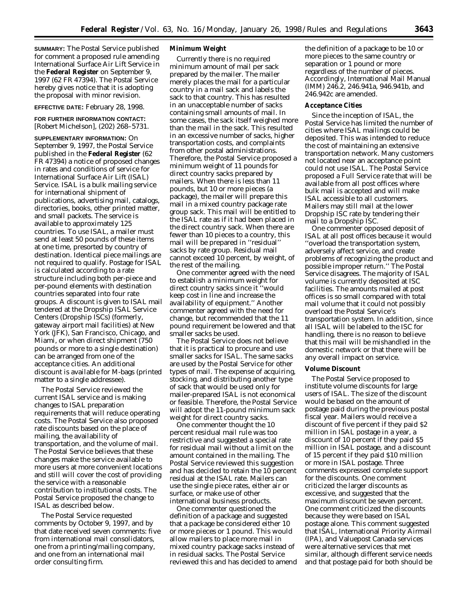**SUMMARY:** The Postal Service published for comment a proposed rule amending International Surface Air Lift Service in the **Federal Register** on September 9, 1997 (62 FR 47394). The Postal Service hereby gives notice that it is adopting the proposal with minor revision.

**EFFECTIVE DATE:** February 28, 1998.

**FOR FURTHER INFORMATION CONTACT:** [Robert Michelson], (202) 268–5731.

**SUPPLEMENTARY INFORMATION:** On September 9, 1997, the Postal Service published in the **Federal Register** (62 FR 47394) a notice of proposed changes in rates and conditions of service for International Surface Air Lift (ISAL) Service. ISAL is a bulk mailing service for international shipment of publications, advertising mail, catalogs, directories, books, other printed matter, and small packets. The service is available to approximately 125 countries. To use ISAL, a mailer must send at least 50 pounds of these items at one time, presorted by country of destination. Identical piece mailings are not required to qualify. Postage for ISAL is calculated according to a rate structure including both per-piece and per-pound elements with destination countries separated into four rate groups. A discount is given to ISAL mail tendered at the Dropship ISAL Service Centers (Dropship ISCs) (formerly, gateway airport mail facilities) at New York (JFK), San Francisco, Chicago, and Miami, or when direct shipment (750 pounds or more to a single destination) can be arranged from one of the acceptance cities. An additional discount is available for M-bags (printed matter to a single addressee).

The Postal Service reviewed the current ISAL service and is making changes to ISAL preparation requirements that will reduce operating costs. The Postal Service also proposed rate discounts based on the place of mailing, the availability of transportation, and the volume of mail. The Postal Service believes that these changes make the service available to more users at more convenient locations and still will cover the cost of providing the service with a reasonable contribution to institutional costs. The Postal Service proposed the change to ISAL as described below.

The Postal Service requested comments by October 9, 1997, and by that date received seven comments: five from international mail consolidators, one from a printing/mailing company, and one from an international mail order consulting firm.

### **Minimum Weight**

Currently there is no required minimum amount of mail per sack prepared by the mailer. The mailer merely places the mail for a particular country in a mail sack and labels the sack to that country. This has resulted in an unacceptable number of sacks containing small amounts of mail. In some cases, the sack itself weighed more than the mail in the sack. This resulted in an excessive number of sacks, higher transportation costs, and complaints from other postal administrations. Therefore, the Postal Service proposed a minimum weight of 11 pounds for direct country sacks prepared by mailers. When there is less than 11 pounds, but 10 or more pieces (a package), the mailer will prepare this mail in a mixed country package rate group sack. This mail will be entitled to the ISAL rate as if it had been placed in the direct country sack. When there are fewer than 10 pieces to a country, this mail will be prepared in ''residual'' sacks by rate group. Residual mail cannot exceed 10 percent, by weight, of the rest of the mailing.

One commenter agreed with the need to establish a minimum weight for direct country sacks since it ''would keep cost in line and increase the availability of equipment.'' Another commenter agreed with the need for change, but recommended that the 11 pound requirement be lowered and that smaller sacks be used.

The Postal Service does not believe that it is practical to procure and use smaller sacks for ISAL. The same sacks are used by the Postal Service for other types of mail. The expense of acquiring, stocking, and distributing another type of sack that would be used only for mailer-prepared ISAL is not economical or feasible. Therefore, the Postal Service will adopt the 11-pound minimum sack weight for direct country sacks.

One commenter thought the 10 percent residual mail rule was too restrictive and suggested a special rate for residual mail without a limit on the amount contained in the mailing. The Postal Service reviewed this suggestion and has decided to retain the 10 percent residual at the ISAL rate. Mailers can use the single piece rates, either air or surface, or make use of other international business products.

One commenter questioned the definition of a package and suggested that a package be considered either 10 or more pieces or 1 pound. This would allow mailers to place more mail in mixed country package sacks instead of in residual sacks. The Postal Service reviewed this and has decided to amend

the definition of a package to be 10 or more pieces to the same country or separation or 1 pound or more regardless of the number of pieces. Accordingly, International Mail Manual (IMM) 246.2, 246.941a, 946.941b, and 246.942c are amended.

#### **Acceptance Cities**

Since the inception of ISAL, the Postal Service has limited the number of cities where ISAL mailings could be deposited. This was intended to reduce the cost of maintaining an extensive transportation network. Many customers not located near an acceptance point could not use ISAL. The Postal Service proposed a Full Service rate that will be available from all post offices where bulk mail is accepted and will make ISAL accessible to all customers. Mailers may still mail at the lower Dropship ISC rate by tendering their mail to a Dropship ISC.

One commenter opposed deposit of ISAL at all post offices because it would ''overload the transportation system, adversely affect service, and create problems of recognizing the product and possible improper return.'' The Postal Service disagrees. The majority of ISAL volume is currently deposited at ISC facilities. The amounts mailed at post offices is so small compared with total mail volume that it could not possibly overload the Postal Service's transportation system. In addition, since all ISAL will be labeled to the ISC for handling, there is no reason to believe that this mail will be mishandled in the domestic network or that there will be any overall impact on service.

### **Volume Discount**

The Postal Service proposed to institute volume discounts for large users of ISAL. The size of the discount would be based on the amount of postage paid during the previous postal fiscal year. Mailers would receive a discount of five percent if they paid \$2 million in ISAL postage in a year, a discount of 10 percent if they paid \$5 million in ISAL postage, and a discount of 15 percent if they paid \$10 million or more in ISAL postage. Three comments expressed complete support for the discounts. One comment criticized the larger discounts as excessive, and suggested that the maximum discount be seven percent. One comment criticized the discounts because they were based on ISAL postage alone. This comment suggested that ISAL, International Priority Airmail (IPA), and Valuepost Canada services were alternative services that met similar, although different service needs and that postage paid for both should be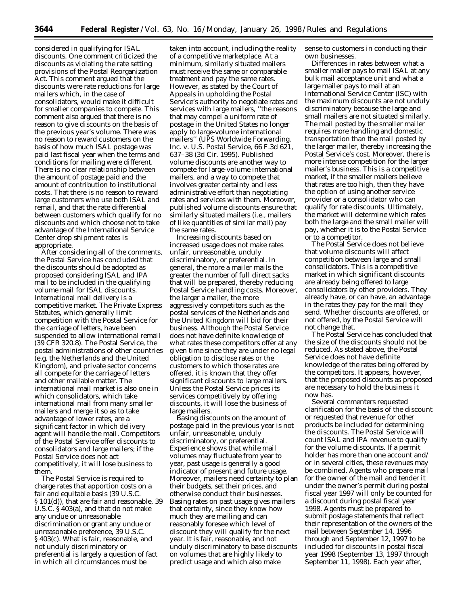considered in qualifying for ISAL discounts. One comment criticized the discounts as violating the rate setting provisions of the Postal Reorganization Act. This comment argued that the discounts were rate reductions for large mailers which, in the case of consolidators, would make it difficult for smaller companies to compete. This comment also argued that there is no reason to give discounts on the basis of the previous year's volume. There was no reason to reward customers on the basis of how much ISAL postage was paid last fiscal year when the terms and conditions for mailing were different. There is no clear relationship between the amount of postage paid and the amount of contribution to institutional costs. That there is no reason to reward large customers who use both ISAL and remail, and that the rate differential between customers which qualify for no discounts and which choose not to take advantage of the International Service Center drop shipment rates is appropriate.

After considering all of the comments, the Postal Service has concluded that the discounts should be adopted as proposed considering ISAL and IPA mail to be included in the qualifying volume mail for ISAL discounts. International mail delivery is a competitive market. The Private Express Statutes, which generally limit competition with the Postal Service for the carriage of letters, have been suspended to allow international remail (39 CFR 320.8). The Postal Service, the postal administrations of other countries (*e.g*. the Netherlands and the United Kingdom), and private sector concerns all compete for the carriage of letters and other mailable matter. The international mail market is also one in which consolidators, which take international mail from many smaller mailers and merge it so as to take advantage of lower rates, are a significant factor in which delivery agent will handle the mail. Competitors of the Postal Service offer discounts to consolidators and large mailers; if the Postal Service does not act competitively, it will lose business to them.

The Postal Service is required to charge rates that apportion costs on a fair and equitable basis (39 U.S.C. § 101(d)), that are fair and reasonable, 39 U.S.C. § 403(a), and that do not make any undue or unreasonable discrimination or grant any undue or unreasonable preference, 39 U.S.C. § 403(c). What is fair, reasonable, and not unduly discriminatory or preferential is largely a question of fact in which all circumstances must be

taken into account, including the reality of a competitive marketplace. At a minimum, similarly situated mailers must receive the same or comparable treatment and pay the same rates. However, as stated by the Court of Appeals in upholding the Postal Service's authority to negotiate rates and services with large mailers, ''the reasons that may compel a uniform rate of postage in the United States no longer apply to large-volume international mailers'' *(UPS Worldwide Forwarding, Inc.* v. *U.S. Postal Service*, 66 F.3d 621, 637–38 (3d Cir. 1995). Published volume discounts are another way to compete for large-volume international mailers, and a way to compete that involves greater certainty and less administrative effort than negotiating rates and services with them. Moreover, published volume discounts ensure that similarly situated mailers (*i.e.*, mailers of like quantities of similar mail) pay the same rates.

Increasing discounts based on increased usage does not make rates unfair, unreasonable, unduly discriminatory, or preferential. In general, the more a mailer mails the greater the number of full direct sacks that will be prepared, thereby reducing Postal Service handling costs. Moreover, the larger a mailer, the more aggressively competitors such as the postal services of the Netherlands and the United Kingdom will bid for their business. Although the Postal Service does not have definite knowledge of what rates these competitors offer at any given time since they are under no legal obligation to disclose rates or the customers to which those rates are offered, it is known that they offer significant discounts to large mailers. Unless the Postal Service prices its services competitively by offering discounts, it will lose the business of large mailers.

Basing discounts on the amount of postage paid in the previous year is not unfair, unreasonable, unduly discriminatory, or preferential. Experience shows that while mail volumes may fluctuate from year to year, past usage is generally a good indicator of present and future usage. Moreover, mailers need certainty to plan their budgets, set their prices, and otherwise conduct their businesses. Basing rates on past usage gives mailers that certainty, since they know how much they are mailing and can reasonably foresee which level of discount they will qualify for the next year. It is fair, reasonable, and not unduly discriminatory to base discounts on volumes that are highly likely to predict usage and which also make

sense to customers in conducting their own businesses.

Differences in rates between what a smaller mailer pays to mail ISAL at any bulk mail acceptance unit and what a large mailer pays to mail at an International Service Center (ISC) with the maximum discounts are not unduly discriminatory because the large and small mailers are not situated similarly. The mail posted by the smaller mailer requires more handling and domestic transportation than the mail posted by the larger mailer, thereby increasing the Postal Service's cost. Moreover, there is more intense competition for the larger mailer's business. This is a competitive market, if the smaller mailers believe that rates are too high, then they have the option of using another service provider or a consolidator who can qualify for rate discounts. Ultimately, the market will determine which rates both the large and the small mailer will pay, whether it is to the Postal Service or to a competitor.

The Postal Service does not believe that volume discounts will affect competition between large and small consolidators. This is a competitive market in which significant discounts are already being offered to large consolidators by other providers. They already have, or can have, an advantage in the rates they pay for the mail they send. Whether discounts are offered, or not offered, by the Postal Service will not change that.

The Postal Service has concluded that the size of the discounts should not be reduced. As stated above, the Postal Service does not have definite knowledge of the rates being offered by the competitors. It appears, however, that the proposed discounts as proposed are necessary to hold the business it now has.

Several commenters requested clarification for the basis of the discount or requested that revenue for other products be included for determining the discounts. The Postal Service will count ISAL and IPA revenue to qualify for the volume discounts. If a permit holder has more than one account and/ or in several cities, these revenues may be combined. Agents who prepare mail for the owner of the mail and tender it under the owner's permit during postal fiscal year 1997 will only be counted for a discount during postal fiscal year 1998. Agents must be prepared to submit postage statements that reflect their representation of the owners of the mail between September 14, 1996 through and September 12, 1997 to be included for discounts in postal fiscal year 1998 (September 13, 1997 through September 11, 1998). Each year after,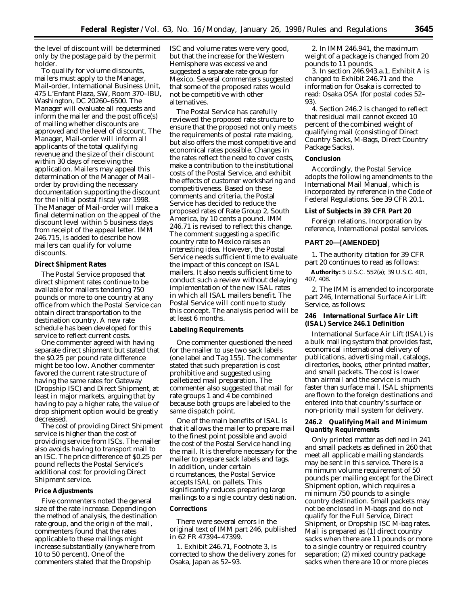the level of discount will be determined only by the postage paid by the permit holder.

To qualify for volume discounts, mailers must apply to the Manager, Mail-order, International Business Unit, 475 L'Enfant Plaza, SW, Room 370–IBU, Washington, DC 20260–6500. The Manager will evaluate all requests and inform the mailer and the post office(s) of mailing whether discounts are approved and the level of discount. The Manager, Mail-order will inform all applicants of the total qualifying revenue and the size of their discount within 30 days of receiving the application. Mailers may appeal this determination of the Manager of Mailorder by providing the necessary documentation supporting the discount for the initial postal fiscal year 1998. The Manager of Mail-order will make a final determination on the appeal of the discount level within 5 business days from receipt of the appeal letter. IMM 246.715, is added to describe how mailers can qualify for volume discounts.

# **Direct Shipment Rates**

The Postal Service proposed that direct shipment rates continue to be available for mailers tendering 750 pounds or more to one country at any office from which the Postal Service can obtain direct transportation to the destination country. A new rate schedule has been developed for this service to reflect current costs.

One commenter agreed with having separate direct shipment but stated that the \$0.25 per pound rate difference might be too low. Another commenter favored the current rate structure of having the same rates for Gateway (Dropship ISC) and Direct Shipment, at least in major markets, arguing that by having to pay a higher rate, the value of drop shipment option would be greatly decreased.

The cost of providing Direct Shipment service is higher than the cost of providing service from ISCs. The mailer also avoids having to transport mail to an ISC. The price difference of \$0.25 per pound reflects the Postal Service's additional cost for providing Direct Shipment service.

# **Price Adjustments**

Five commenters noted the general size of the rate increase. Depending on the method of analysis, the destination rate group, and the origin of the mail, commenters found that the rates applicable to these mailings might increase substantially (anywhere from 10 to 50 percent). One of the commenters stated that the Dropship

ISC and volume rates were very good, but that the increase for the Western Hemisphere was excessive and suggested a separate rate group for Mexico. Several commenters suggested that some of the proposed rates would not be competitive with other alternatives.

The Postal Service has carefully reviewed the proposed rate structure to ensure that the proposed not only meets the requirements of postal rate making, but also offers the most competitive and economical rates possible. Changes in the rates reflect the need to cover costs, make a contribution to the institutional costs of the Postal Service, and exhibit the effects of customer worksharing and competitiveness. Based on these comments and criteria, the Postal Service has decided to reduce the proposed rates of Rate Group 2, South America, by 10 cents a pound. IMM 246.71 is revised to reflect this change. The comment suggesting a specific country rate to Mexico raises an interesting idea. However, the Postal Service needs sufficient time to evaluate the impact of this concept on ISAL mailers. It also needs sufficient time to conduct such a review without delaying implementation of the new ISAL rates in which all ISAL mailers benefit. The Postal Service will continue to study this concept. The analysis period will be at least 6 months.

### **Labeling Requirements**

One commenter questioned the need for the mailer to use two sack labels (one label and Tag 155). The commenter stated that such preparation is cost prohibitive and suggested using palletized mail preparation. The commenter also suggested that mail for rate groups 1 and 4 be combined because both groups are labeled to the same dispatch point.

One of the main benefits of ISAL is that it allows the mailer to prepare mail to the finest point possible and avoid the cost of the Postal Service handling the mail. It is therefore necessary for the mailer to prepare sack labels and tags. In addition, under certain circumstances, the Postal Service accepts ISAL on pallets. This significantly reduces preparing large mailings to a single country destination.

### **Corrections**

There were several errors in the original text of IMM part 246, published in 62 FR 47394–47399.

1. Exhibit 246.71, Footnote 3, is corrected to show the delivery zones for Osaka, Japan as 52–93.

2. In IMM 246.941, the maximum weight of a package is changed from 20 pounds to 11 pounds.

3. In section 246.943.a.1, Exhibit A is changed to Exhibit 246.71 and the information for Osaka is corrected to read: Osaka OSA (for postal codes 52– 93).

4. Section 246.2 is changed to reflect that residual mail cannot exceed 10 percent of the combined weight of qualifying mail (consisting of Direct Country Sacks, M-Bags, Direct Country Package Sacks).

### **Conclusion**

Accordingly, the Postal Service adopts the following amendments to the International Mail Manual, which is incorporated by reference in the Code of Federal Regulations. See 39 CFR 20.1.

## **List of Subjects in 39 CFR Part 20**

Foreign relations, Incorporation by reference, International postal services.

### **PART 20—[AMENDED]**

1. The authority citation for 39 CFR part 20 continues to read as follows:

**Authority:** 5 U.S.C. 552(a); 39 U.S.C. 401, 407, 408.

2. The IMM is amended to incorporate part 246, International Surface Air Lift Service, as follows:

# **246 International Surface Air Lift (ISAL) Service 246.1 Definition**

International Surface Air Lift (ISAL) is a bulk mailing system that provides fast, economical international delivery of publications, advertising mail, catalogs, directories, books, other printed matter, and small packets. The cost is lower than airmail and the service is much faster than surface mail. ISAL shipments are flown to the foreign destinations and entered into that country's surface or non-priority mail system for delivery.

# **246.2 Qualifying Mail and Minimum Quantity Requirements**

Only printed matter as defined in 241 and small packets as defined in 260 that meet all applicable mailing standards may be sent in this service. There is a minimum volume requirement of 50 pounds per mailing except for the Direct Shipment option, which requires a minimum 750 pounds to a single country destination. Small packets may not be enclosed in M-bags and do not qualify for the Full Service, Direct Shipment, or Dropship ISC M-bag rates. Mail is prepared as (1) direct country sacks when there are 11 pounds or more to a single country or required country separation; (2) mixed country package sacks when there are 10 or more pieces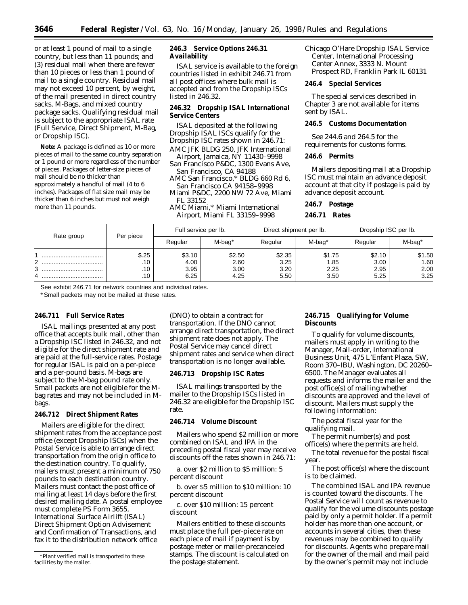or at least 1 pound of mail to a single country, but less than 11 pounds; and (3) residual mail when there are fewer than 10 pieces or less than 1 pound of mail to a single country. Residual mail may not exceed 10 percent, by weight, of the mail presented in direct country sacks, M-Bags, and mixed country package sacks. Qualifying residual mail is subject to the appropriate ISAL rate (Full Service, Direct Shipment, M-Bag, or Dropship ISC).

**Note:** A package is defined as 10 or more pieces of mail to the same country separation or 1 pound or more regardless of the number of pieces. Packages of letter-size pieces of mail should be no thicker than approximately a handful of mail (4 to 6 inches). Packages of flat size mail may be thicker than 6 inches but must not weigh more than 11 pounds.

# **246.3 Service Options 246.31 Availability**

ISAL service is available to the foreign countries listed in exhibit 246.71 from all post offices where bulk mail is accepted and from the Dropship ISCs listed in 246.32.

# **246.32 Dropship ISAL International Service Centers**

ISAL deposited at the following Dropship ISAL ISCs qualify for the Dropship ISC rates shown in 246.71: AMC JFK BLDG 250, JFK International

Airport, Jamaica, NY 11430–9998 San Francisco P&DC, 1300 Evans Ave,

- San Francisco, CA 94188
- AMC San Francisco,\* BLDG 660 Rd 6, San Francisco CA 94158–9998

Miami P&DC, 2200 NW 72 Ave, Miami FL 33152

AMC Miami,\* Miami International Airport, Miami FL 33159–9998

Chicago O'Hare Dropship ISAL Service Center, International Processing Center Annex, 3333 N. Mount Prospect RD, Franklin Park IL 60131

## **246.4 Special Services**

The special services described in Chapter 3 are not available for items sent by ISAL.

### **246.5 Customs Documentation**

See 244.6 and 264.5 for the requirements for customs forms.

# **246.6 Permits**

Mailers depositing mail at a Dropship ISC must maintain an advance deposit account at that city if postage is paid by advance deposit account.

### **246.7 Postage**

**246.71 Rates**

| Rate group          | Per piece                  | Full service per lb.           |                                | Direct shipment per lb.        |                               | Dropship ISC per lb.           |                                |
|---------------------|----------------------------|--------------------------------|--------------------------------|--------------------------------|-------------------------------|--------------------------------|--------------------------------|
|                     |                            | Regular                        | M-bag*                         | Regular                        | M-bag*                        | Regular                        | M-bag*                         |
| <br>ົ<br><br>3<br>4 | \$.25<br>.10<br>.10<br>.10 | \$3.10<br>4.00<br>3.95<br>6.25 | \$2.50<br>2.60<br>3.00<br>4.25 | \$2.35<br>3.25<br>3.20<br>5.50 | \$1.75<br>.85<br>2.25<br>3.50 | \$2.10<br>3.00<br>2.95<br>5.25 | \$1.50<br>1.60<br>2.00<br>3.25 |

See exhibit 246.71 for network countries and individual rates.

\*Small packets may not be mailed at these rates.

### **246.711 Full Service Rates**

ISAL mailings presented at any post office that accepts bulk mail, other than a Dropship ISC listed in 246.32, and not eligible for the direct shipment rate and are paid at the full-service rates. Postage for regular ISAL is paid on a per-piece and a per-pound basis. M-bags are subject to the M-bag pound rate only. Small packets are not eligible for the Mbag rates and may not be included in Mbags.

# **246.712 Direct Shipment Rates**

Mailers are eligible for the direct shipment rates from the acceptance post office (except Dropship ISCs) when the Postal Service is able to arrange direct transportation from the origin office to the destination country. To qualify, mailers must present a minimum of 750 pounds to each destination country. Mailers must contact the post office of mailing at least 14 days before the first desired mailing date. A postal employee must complete PS Form 3655, International Surface Airlift (ISAL) Direct Shipment Option Advisement and Confirmation of Transactions, and fax it to the distribution network office

(DNO) to obtain a contract for transportation. If the DNO cannot arrange direct transportation, the direct shipment rate does not apply. The Postal Service may cancel direct shipment rates and service when direct transportation is no longer available.

### **246.713 Dropship ISC Rates**

ISAL mailings transported by the mailer to the Dropship ISCs listed in 246.32 are eligible for the Dropship ISC rate.

# **246.714 Volume Discount**

Mailers who spend \$2 million or more combined on ISAL and IPA in the preceding postal fiscal year may receive discounts off the rates shown in 246.71:

a. over \$2 million to \$5 million: 5 percent discount

b. over \$5 million to \$10 million: 10 percent discount

c. over \$10 million: 15 percent discount

Mailers entitled to these discounts must place the full per-piece rate on each piece of mail if payment is by postage meter or mailer-precanceled stamps. The discount is calculated on the postage statement.

# **246.715 Qualifying for Volume Discounts**

To qualify for volume discounts, mailers must apply in writing to the Manager, Mail-order, International Business Unit, 475 L'Enfant Plaza, SW, Room 370–IBU, Washington, DC 20260– 6500. The Manager evaluates all requests and informs the mailer and the post office(s) of mailing whether discounts are approved and the level of discount. Mailers must supply the following information:

The postal fiscal year for the qualifying mail.

The permit number(s) and post office(s) where the permits are held.

The total revenue for the postal fiscal year.

The post office(s) where the discount is to be claimed.

The combined ISAL and IPA revenue is counted toward the discounts. The Postal Service will count as revenue to qualify for the volume discounts postage paid by only a permit holder. If a permit holder has more than one account, or accounts in several cities, then these revenues may be combined to qualify for discounts. Agents who prepare mail for the owner of the mail and mail paid by the owner's permit may not include

<sup>\*</sup>Plant verified mail is transported to these facilities by the mailer.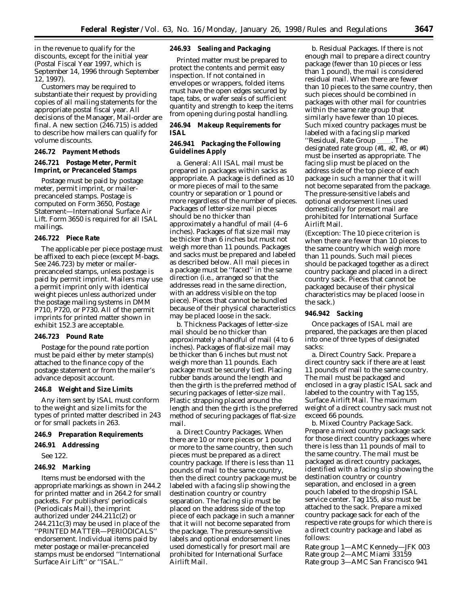in the revenue to qualify for the discounts, except for the initial year (Postal Fiscal Year 1997, which is September 14, 1996 through September 12, 1997).

Customers may be required to substantiate their request by providing copies of all mailing statements for the appropriate postal fiscal year. All decisions of the Manager, Mail-order are final. A new section  $(246.715)$  is added to describe how mailers can qualify for volume discounts.

### **246.72 Payment Methods**

# **246.721 Postage Meter, Permit Imprint, or Precanceled Stamps**

Postage must be paid by postage meter, permit imprint, or mailerprecanceled stamps. Postage is computed on Form 3650, Postage Statement—International Surface Air Lift. Form 3650 is required for all ISAL mailings.

# **246.722 Piece Rate**

The applicable per piece postage must be affixed to each piece (except M-bags. See 246.723) by meter or mailerprecanceled stamps, unless postage is paid by permit imprint. Mailers may use a permit imprint only with identical weight pieces unless authorized under the postage mailing systems in DMM P710, P720, or P730. All of the permit imprints for printed matter shown in exhibit 152.3 are acceptable.

### **246.723 Pound Rate**

Postage for the pound rate portion must be paid either by meter stamp(s) attached to the finance copy of the postage statement or from the mailer's advance deposit account.

### **246.8 Weight and Size Limits**

Any item sent by ISAL must conform to the weight and size limits for the types of printed matter described in 243 or for small packets in 263.

#### **246.9 Preparation Requirements**

# **246.91 Addressing**

See 122.

### **246.92 Marking**

Items must be endorsed with the appropriate markings as shown in 244.2 for printed matter and in 264.2 for small packets. For publishers' periodicals (Periodicals Mail), the imprint authorized under 244.211c(2) or 244.211c(3) may be used in place of the ''PRINTED MATTER—PERIODICALS'' endorsement. Individual items paid by meter postage or mailer-precanceled stamps must be endorsed ''International Surface Air Lift'' or ''ISAL.''

### **246.93 Sealing and Packaging**

Printed matter must be prepared to protect the contents and permit easy inspection. If not contained in envelopes or wrappers, folded items must have the open edges secured by tape, tabs, or wafer seals of sufficient quantity and strength to keep the items from opening during postal handling.

# **246.94 Makeup Requirements for ISAL**

# **246.941 Packaging the Following Guidelines Apply**

a. General: All ISAL mail must be prepared in packages within sacks as appropriate. A package is defined as 10 or more pieces of mail to the same country or separation or 1 pound or more regardless of the number of pieces. Packages of letter-size mail pieces should be no thicker than approximately a handful of mail (4–6 inches). Packages of flat size mail may be thicker than 6 inches but must not weigh more than 11 pounds. Packages and sacks must be prepared and labeled as described below. All mail pieces in a package must be ''faced'' in the same direction (*i.e.,* arranged so that the addresses read in the same direction, with an address visible on the top piece). Pieces that cannot be bundled because of their physical characteristics may be placed loose in the sack.

b. Thickness Packages of letter-size mail should be no thicker than approximately a handful of mail (4 to 6 inches). Packages of flat-size mail may be thicker than 6 inches but must not weigh more than 11 pounds. Each package must be securely tied. Placing rubber bands around the length and then the girth is the preferred method of securing packages of letter-size mail. Plastic strapping placed around the length and then the girth is the preferred method of securing packages of flat-size mail.

a. Direct Country Packages. When there are 10 or more pieces or 1 pound or more to the same country, then such pieces must be prepared as a direct country package. If there is less than 11 pounds of mail to the same country, then the direct country package must be labeled with a facing slip showing the destination country or country separation. The facing slip must be placed on the address side of the top piece of each package in such a manner that it will not become separated from the package. The pressure-sensitive labels and optional endorsement lines used domestically for presort mail are prohibited for International Surface Airlift Mail.

b. Residual Packages. If there is not enough mail to prepare a direct country package (fewer than 10 pieces or less than 1 pound), the mail is considered residual mail. When there are fewer than 10 pieces to the same country, then such pieces should be combined in packages with other mail for countries within the same rate group that similarly have fewer than 10 pieces. Such mixed country packages must be labeled with a facing slip marked "Residual, Rate Group \_\_\_\_. The designated rate group (#1, #2, #3, or #4) must be inserted as appropriate. The facing slip must be placed on the address side of the top piece of each package in such a manner that it will not become separated from the package. The pressure-sensitive labels and optional endorsement lines used domestically for presort mail are prohibited for International Surface Airlift Mail.

(Exception: The 10 piece criterion is when there are fewer than 10 pieces to the same country which weigh more than 11 pounds. Such mail pieces should be packaged together as a direct country package and placed in a direct country sack. Pieces that cannot be packaged because of their physical characteristics may be placed loose in the sack.)

# **946.942 Sacking**

Once packages of ISAL mail are prepared, the packages are then placed into one of three types of designated sacks:

a. Direct Country Sack. Prepare a direct country sack if there are at least 11 pounds of mail to the same country. The mail must be packaged and enclosed in a gray plastic ISAL sack and labeled to the country with Tag 155, Surface Airlift Mail. The maximum weight of a direct country sack must not exceed 66 pounds.

b. Mixed Country Package Sack. Prepare a mixed country package sack for those direct country packages where there is less than 11 pounds of mail to the same country. The mail must be packaged as direct country packages, identified with a facing slip showing the destination country or country separation, and enclosed in a green pouch labeled to the dropship ISAL service center. Tag 155, also must be attached to the sack. Prepare a mixed country package sack for each of the respective rate groups for which there is a direct country package and label as follows:

Rate group 1—AMC Kennedy—JFK 003 Rate group 2—AMC Miami 33159 Rate group 3—AMC San Francisco 941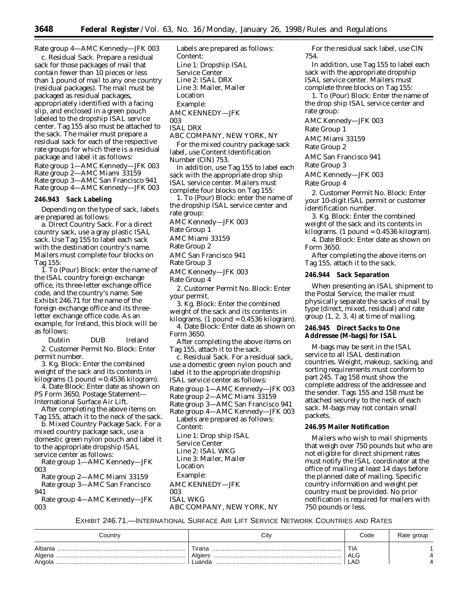Rate group 4—AMC Kennedy—JFK 003

c. Residual Sack. Prepare a residual sack for those packages of mail that contain fewer than 10 pieces or less than 1 pound of mail to any one country (residual packages). The mail must be packaged as residual packages, appropriately identified with a facing slip, and enclosed in a green pouch labeled to the dropship ISAL service center. Tag 155 also must be attached to the sack. The mailer must prepare a residual sack for each of the respective rate groups for which there is a residual package and label it as follows: Rate group 1—AMC Kennedy—JFK 003 Rate group 2—AMC Miami 33159 Rate group 3—AMC San Francisco 941 Rate group 4—AMC Kennedy—JFK 003

#### **246.943 Sack Labeling**

Depending on the type of sack, labels are prepared as follows:

a. Direct Country Sack. For a direct country sack, use a gray plastic ISAL sack. Use Tag 155 to label each sack with the destination country's name. Mailers must complete four blocks on Tag 155:

1. To (Pour) Block: enter the name of the ISAL country foreign exchange office, its three-letter exchange office code, and the country's name. See Exhibit 246.71 for the name of the foreign exchange office and its threeletter exchange office code. As an example, for Ireland, this block will be as follows:

Dublin DUB Ireland 2. Customer Permit No. Block: Enter permit number.

3. Kg. Block: Enter the combined weight of the sack and its contents in  $kilograms (1 pound = 0.4536 kilogram).$ 

4. Date Block: Enter date as shown on PS Form 3650, Postage Statement-International Surface Air Lift.

After completing the above items on Tag 155, attach it to the neck of the sack.

b. Mixed Country Package Sack. For a mixed country package sack, use a domestic green nylon pouch and label it to the appropriate dropship ISAL

service center as follows: Rate group 1—AMC Kennedy—JFK 003

Rate group 2—AMC Miami 33159 Rate group 3—AMC San Francisco 941

Rate group 4—AMC Kennedy—JFK 003

Labels are prepared as follows: Content: Line 1: Dropship ISAL Service Center Line 2: ISAL DRX Line 3: Mailer, Mailer Location Example: AMC KENNEDY—JFK 003 ISAL DRX

ABC COMPANY, NEW YORK, NY

For the mixed country package sack label, use Content Identification Number (CIN) 753.

In addition, use Tag 155 to label each sack with the appropriate drop ship ISAL service center. Mailers must complete four blocks on Tag 155:

1. To (Pour) Block: enter the name of the dropship ISAL service center and

rate group:

AMC Kennedy—JFK 003

Rate Group 1

AMC Miami 33159

Rate Group 2

AMC San Francisco 941

Rate Group 3

AMC Kennedy—JFK 003

Rate Group 4

2. Customer Permit No. Block: Enter your permit.

3. Kg. Block: Enter the combined weight of the sack and its contents in

 $kilograms.$  (1 pound = 0.4536 kilogram). 4. Date Block: Enter date as shown on Form 3650.

After completing the above items on Tag 155, attach it to the sack.

c. Residual Sack. For a residual sack, use a domestic green nylon pouch and label it to the appropriate dropship ISAL service center as follows:

Rate group 1—AMC Kennedy—JFK 003

Rate group 2—AMC Miami 33159

Rate group 3—AMC San Francisco 941 Rate group 4—AMC Kennedy—JFK 003 Labels are prepared as follows:

Content:

Line 1: Drop ship ISAL Service Center Line 2: ISAL WKG

Line 3: Mailer, Mailer

Location

Example:

AMC KENNEDY—JFK 003

ABC COMPANY, NEW YORK, NY

For the residual sack label, use CIN 754.

In addition, use Tag 155 to label each sack with the appropriate dropship ISAL service center. Mailers must complete three blocks on Tag 155:

1. To (Pour) Block: Enter the name of the drop ship ISAL service center and rate group:

AMC Kennedy—JFK 003

Rate Group 1

AMC Miami 33159

Rate Group 2 AMC San Francisco 941

Rate Group 3

AMC Kennedy—JFK 003

Rate Group 4

2. Customer Permit No. Block: Enter your 10-digit ISAL permit or customer identification number.

3. Kg. Block: Enter the combined weight of the sack and its contents in  $kilograms.$  (1 pound = 0.4536 kilogram).

4. Date Block: Enter date as shown on Form 3650.

After completing the above items on Tag 155, attach it to the sack.

#### **246.944 Sack Separation**

When presenting an ISAL shipment to the Postal Service, the mailer must physically separate the sacks of mail by type (direct, mixed, residual) and rate group (1, 2, 3, 4) at time of mailing.

# **246.945 Direct Sacks to One Addressee (M-bags) for ISAL**

M-bags may be sent in the ISAL service to all ISAL destination countries. Weight, makeup, sacking, and sorting requirements must conform to part 245. Tag 158 must show the complete address of the addressee and the sender. Tags 155 and 158 must be attached securely to the neck of each sack. M-bags may not contain small packets.

# **246.95 Mailer Notification**

Mailers who wish to mail shipments that weigh over 750 pounds but who are not eligible for direct shipment rates must notify the ISAL coordinator at the office of mailing at least 14 days before the planned date of mailing. Specific country information and weight per country must be provided. No prior notification is required for mailers with 750 pounds or less.

EXHIBIT 246.71.—INTERNATIONAL SURFACE AIR LIFT SERVICE NETWORK COUNTRIES AND RATES

| Country                      | Citv                        | Code                     | Rate group |
|------------------------------|-----------------------------|--------------------------|------------|
| Albania<br>Algeria<br>Angola | Tirana<br>Algiers<br>Luanda | TIA<br><b>ALG</b><br>_AD |            |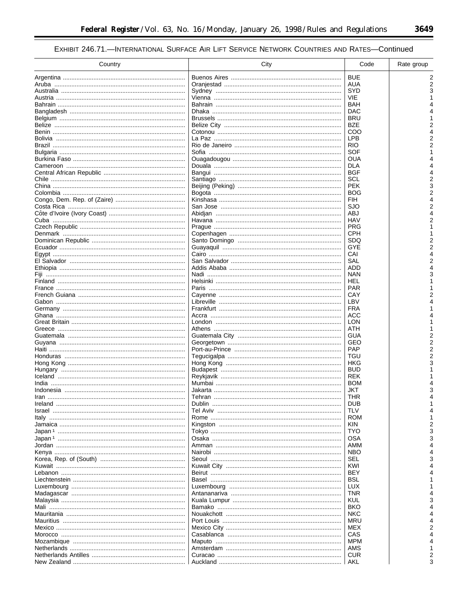$\equiv$ 

# EXHIBIT 246.71.-INTERNATIONAL SURFACE AIR LIFT SERVICE NETWORK COUNTRIES AND RATES-Continued

| Country                         | City                             | Code       | Rate group |
|---------------------------------|----------------------------------|------------|------------|
|                                 |                                  | <b>BUE</b> | 2          |
|                                 |                                  | AUA        | 2          |
|                                 |                                  | <b>SYD</b> |            |
|                                 |                                  | VIE        |            |
|                                 |                                  | BAH        |            |
|                                 |                                  | DAC        |            |
|                                 |                                  | <b>BRU</b> |            |
|                                 |                                  | <b>BZE</b> |            |
|                                 |                                  | COO        |            |
|                                 |                                  | <b>LPB</b> |            |
|                                 |                                  | <b>RIO</b> |            |
|                                 |                                  | SOF        |            |
|                                 |                                  | OUA        |            |
|                                 |                                  | DLA        |            |
|                                 |                                  | <b>BGF</b> |            |
|                                 |                                  | SCL        | 2          |
|                                 |                                  | <b>PEK</b> | 3          |
|                                 |                                  | <b>BOG</b> | 2          |
|                                 |                                  | FIH        |            |
|                                 |                                  | SJO        | 2          |
|                                 |                                  | ABJ        |            |
|                                 |                                  | HAV        |            |
|                                 |                                  | <b>PRG</b> |            |
|                                 |                                  | CPH        |            |
|                                 |                                  | <b>SDQ</b> |            |
|                                 |                                  | GYE        |            |
|                                 |                                  |            |            |
| Egypt ………………………………………………………………… |                                  | CAI        |            |
|                                 |                                  | SAL        |            |
|                                 |                                  | ADD        |            |
| Fiji …………………………………………………………………  |                                  | NAN        |            |
|                                 |                                  | HEL        |            |
|                                 |                                  | PAR        |            |
|                                 |                                  | CAY        |            |
|                                 |                                  | LBV        |            |
|                                 |                                  | <b>FRA</b> |            |
|                                 |                                  | ACC        |            |
|                                 |                                  | LON        |            |
|                                 |                                  | ATH        |            |
|                                 |                                  | GUA        |            |
|                                 |                                  | GEO        |            |
|                                 |                                  | <b>PAP</b> |            |
|                                 |                                  | TGU        |            |
|                                 |                                  | HKG        |            |
|                                 |                                  | <b>BUD</b> |            |
|                                 |                                  | REK        |            |
|                                 |                                  | BOM        |            |
|                                 |                                  | JKT        |            |
|                                 |                                  | THR        |            |
|                                 |                                  | DUB        |            |
|                                 | Tel Aviv …………………………………………………………… | <b>TLV</b> |            |
|                                 |                                  | <b>ROM</b> |            |
|                                 |                                  | KIN        |            |
|                                 |                                  | <b>TYO</b> | 3          |
|                                 |                                  | OSA        |            |
|                                 |                                  | AMM        |            |
|                                 |                                  | <b>NBO</b> |            |
|                                 |                                  | SEL        |            |
|                                 |                                  | KWI        |            |
|                                 |                                  | BEY        |            |
|                                 |                                  | BSL        |            |
|                                 |                                  | <b>LUX</b> |            |
|                                 |                                  | <b>TNR</b> |            |
|                                 |                                  | KUL        |            |
|                                 |                                  | BKO        |            |
|                                 |                                  | NKC        |            |
|                                 |                                  | MRU        |            |
|                                 |                                  | MEX        |            |
|                                 |                                  | CAS        |            |
|                                 |                                  | MPM        |            |
|                                 |                                  | AMS        |            |
|                                 |                                  | <b>CUR</b> |            |
|                                 |                                  | AKL        |            |